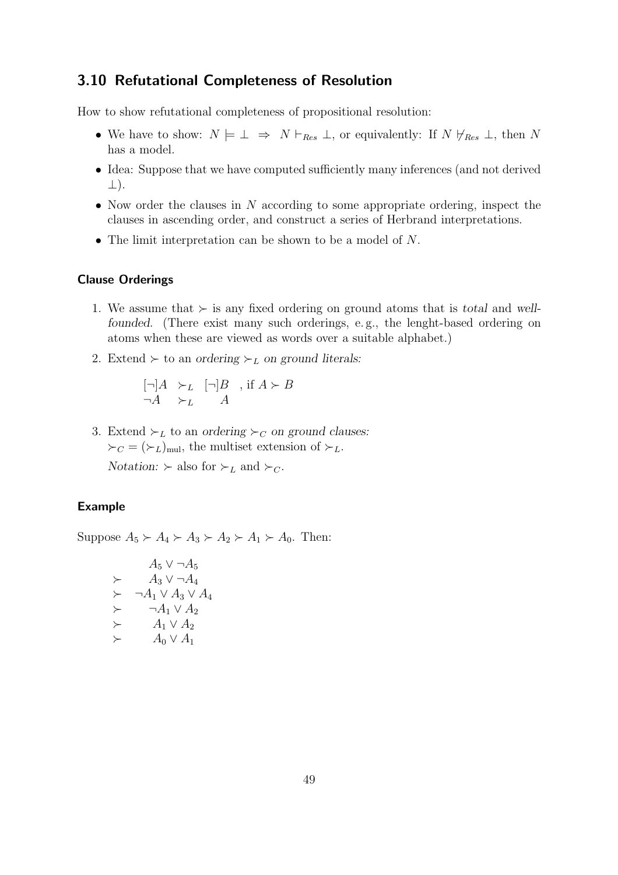# 3.10 Refutational Completeness of Resolution

How to show refutational completeness of propositional resolution:

- We have to show:  $N \models \bot \Rightarrow N \vdash_{Res} \bot$ , or equivalently: If  $N \not\vdash_{Res} \bot$ , then N has a model.
- Idea: Suppose that we have computed sufficiently many inferences (and not derived ⊥).
- Now order the clauses in  $N$  according to some appropriate ordering, inspect the clauses in ascending order, and construct a series of Herbrand interpretations.
- The limit interpretation can be shown to be a model of N.

# Clause Orderings

- 1. We assume that ≻ is any fixed ordering on ground atoms that is *total* and *wellfounded.* (There exist many such orderings, e.g., the lenght-based ordering on atoms when these are viewed as words over a suitable alphabet.)
- 2. Extend  $\succ$  to an *ordering*  $\succ_L$  *on ground literals:*

$$
\begin{array}{ll} [\neg]A & \succ_L & [\neg]B & , \text{ if } A \succ B \\ \neg A & \succ_L & A \end{array}
$$

3. Extend  $\succ_L$  to an *ordering*  $\succ_C$  *on ground clauses:*  $\succ_C = (\succ_L)_{\text{mul}}$ , the multiset extension of  $\succ_L$ .

*Notation:*  $\succ$  also for  $\succ_L$  and  $\succ_C$ .

# Example

Suppose  $A_5 \succ A_4 \succ A_3 \succ A_2 \succ A_1 \succ A_0$ . Then:

$$
A_5 \vee \neg A_5
$$
  
\n
$$
\succ A_3 \vee \neg A_4
$$
  
\n
$$
\succ \neg A_1 \vee A_3 \vee A_4
$$
  
\n
$$
\succ \neg A_1 \vee A_2
$$
  
\n
$$
\succ A_1 \vee A_2
$$
  
\n
$$
\succ A_0 \vee A_1
$$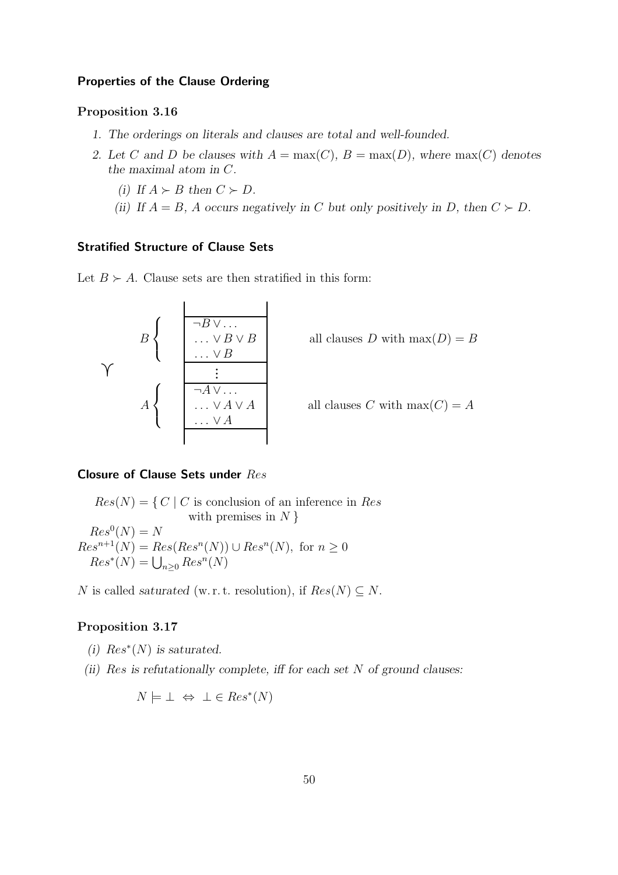## Properties of the Clause Ordering

## Proposition 3.16

- *1. The orderings on literals and clauses are total and well-founded.*
- 2. Let C and D be clauses with  $A = \max(C)$ ,  $B = \max(D)$ , where  $\max(C)$  denotes *the maximal atom in* C*.*
	- *(i) If*  $A \succ B$  *then*  $C \succ D$ *.*
	- *(ii)* If  $A = B$ , A occurs negatively in C but only positively in D, then  $C \succ D$ .

# Stratified Structure of Clause Sets

Let  $B \succ A$ . Clause sets are then stratified in this form:

$$
B\left\{\begin{array}{c}\n\begin{array}{c}\n\hline\n\n\end{array} & \begin{array}{c}\n\hline\n\end{array} & \begin{array}{c}\n\hline\n\end{array} & \begin{array}{c}\n\hline\n\end{array} & \begin{array}{c}\n\hline\n\end{array} & \begin{array}{c}\n\hline\n\end{array} & \begin{array}{c}\n\hline\n\end{array} & \begin{array}{c}\n\hline\n\end{array} & \begin{array}{c}\n\hline\n\end{array} & \begin{array}{c}\n\hline\n\end{array} & \begin{array}{c}\n\hline\n\end{array} & \begin{array}{c}\n\hline\n\end{array} & \begin{array}{c}\n\hline\n\end{array} & \begin{array}{c}\n\hline\n\end{array} & \begin{array}{c}\n\hline\n\end{array} & \begin{array}{c}\n\hline\n\end{array} & \begin{array}{c}\n\hline\n\end{array} & \begin{array}{c}\n\hline\n\end{array} & \begin{array}{c}\n\hline\n\end{array} & \begin{array}{c}\n\hline\n\end{array} & \begin{array}{c}\n\hline\n\end{array} & \begin{array}{c}\n\hline\n\end{array} & \begin{array}{c}\n\hline\n\end{array} & \begin{array}{c}\n\hline\n\end{array} & \begin{array}{c}\n\hline\n\end{array} & \begin{array}{c}\n\hline\n\end{array} & \begin{array}{c}\n\hline\n\end{array} & \begin{array}{c}\n\hline\n\end{array} & \begin{array}{c}\n\hline\n\end{array} & \begin{array}{c}\n\hline\n\end{array} & \begin{array}{c}\n\hline\n\end{array} & \begin{array}{c}\n\hline\n\end{array} & \begin{array}{c}\n\hline\n\end{array} & \begin{array}{c}\n\hline\n\end{array} & \begin{array}{c}\n\hline\n\end{array} & \begin{array}{c}\n\hline\n\end{array} & \begin{array}{c}\n\hline\n\end{array} & \begin{array}{c}\n\hline\n\end{array} & \begin{array}{c}\n\hline\n\end{array} & \begin{array}{c}\n\hline\n\end{array} & \begin{array}{c}\n\hline\n\end{array} & \begin{array}{c}
$$

 $\ddot{\phantom{a}}$ 

# Closure of Clause Sets under Res

 $Res(N) = \{ C | C$  is conclusion of an inference in Res with premises in  $N \}$  $Res^0(N) = N$  $Res<sup>n+1</sup>(N) = Res(Res<sup>n</sup>(N)) \cup Res<sup>n</sup>(N)$ , for  $n \ge 0$  $Res^*(N) = \bigcup_{n \geq 0} Res^n(N)$ 

N is called *saturated* (w. r. t. resolution), if  $Res(N) \subseteq N$ .

# Proposition 3.17

- $(i)$   $Res^*(N)$  *is saturated.*
- *(ii)* Res *is refutationally complete, iff for each set* N *of ground clauses:*

$$
N \models \bot \Leftrightarrow \bot \in Res^*(N)
$$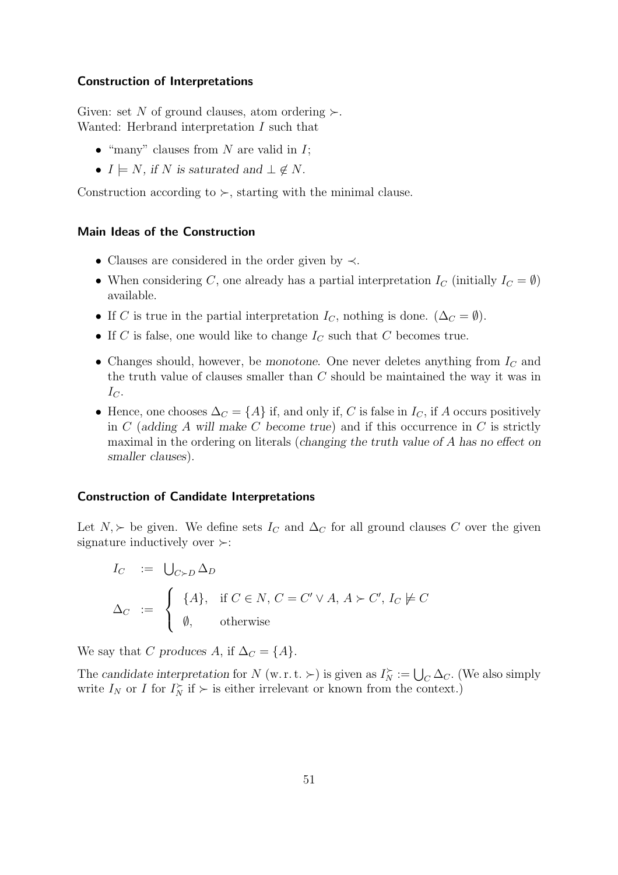#### Construction of Interpretations

Given: set N of ground clauses, atom ordering  $\succ$ . Wanted: Herbrand interpretation I such that

- "many" clauses from  $N$  are valid in  $I$ ;
- $I \models N$ , if N is saturated and  $\bot \notin N$ .

Construction according to  $\succ$ , starting with the minimal clause.

## Main Ideas of the Construction

- Clauses are considered in the order given by ≺.
- When considering C, one already has a partial interpretation  $I_C$  (initially  $I_C = \emptyset$ ) available.
- If C is true in the partial interpretation  $I_C$ , nothing is done.  $(\Delta_C = \emptyset)$ .
- If C is false, one would like to change  $I_C$  such that C becomes true.
- Changes should, however, be *monotone*. One never deletes anything from  $I<sub>C</sub>$  and the truth value of clauses smaller than C should be maintained the way it was in  $I_{C}$ .
- Hence, one chooses  $\Delta_C = \{A\}$  if, and only if, C is false in  $I_C$ , if A occurs positively in C (*adding* A *will make* C *become true*) and if this occurrence in C is strictly maximal in the ordering on literals (*changing the truth value of* A *has no effect on smaller clauses*).

# Construction of Candidate Interpretations

Let  $N, \succ$  be given. We define sets  $I_C$  and  $\Delta_C$  for all ground clauses C over the given signature inductively over ≻:

$$
I_C := \bigcup_{C \succ D} \Delta_D
$$
  
\n
$$
\Delta_C := \begin{cases} \{A\}, & \text{if } C \in N, C = C' \vee A, A \succ C', I_C \not\models C \\ \emptyset, & \text{otherwise} \end{cases}
$$

We say that C produces A, if  $\Delta_C = \{A\}.$ 

The *candidate interpretation* for N (w.r.t.  $\succ$ ) is given as  $I_N^{\succ} := \bigcup_C \Delta_C$ . (We also simply write  $I_N$  or I for  $I_N^{\succ}$  if  $\succ$  is either irrelevant or known from the context.)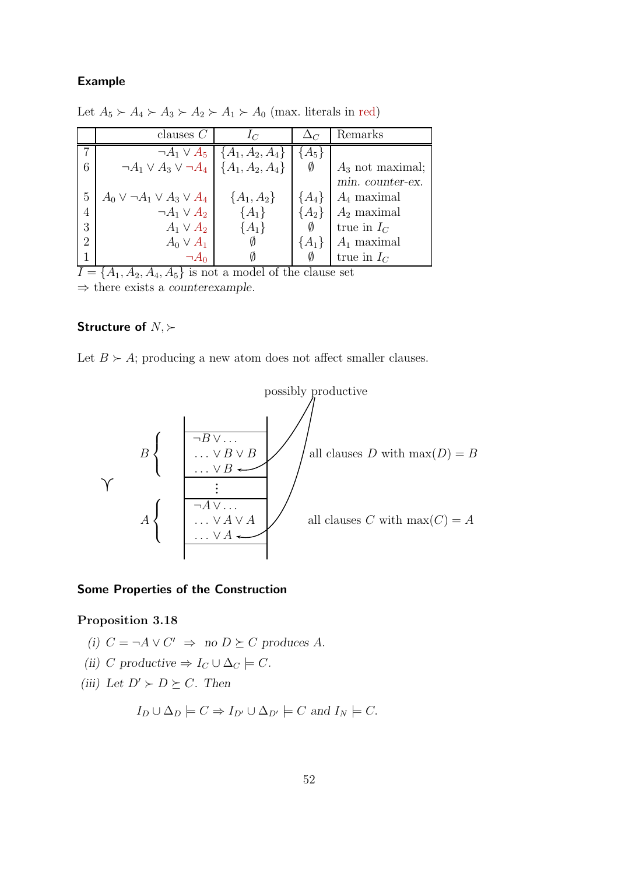## Example

|                | clauses $C$                                              | $I_C$                                           |           | Remarks            |
|----------------|----------------------------------------------------------|-------------------------------------------------|-----------|--------------------|
|                |                                                          | $\neg A_1 \vee A_5 \mid \{A_1, A_2, A_4\} \mid$ | ${A_5}$   |                    |
| 6              | $\neg A_1 \vee A_3 \vee \neg A_4 \mid \{A_1, A_2, A_4\}$ |                                                 | Ø         | $A_3$ not maximal; |
|                |                                                          |                                                 |           | min. counter-ex.   |
| 5              | $A_0 \vee \neg A_1 \vee A_3 \vee A_4$                    | ${A_1, A_2}$                                    | ${A_4}$   | $A_4$ maximal      |
| 4              | $\neg A_1 \vee A_2$                                      | $\{A_1\}$                                       | $\{A_2\}$ | $A_2$ maximal      |
| 3              | $A_1 \vee A_2$                                           | $\{A_1\}$                                       |           | true in $I_C$      |
| $\overline{2}$ | $A_0 \vee A_1$                                           |                                                 | ${A_1}$   | $A_1$ maximal      |
|                |                                                          |                                                 |           | true in $I_C$      |

Let  $A_5 \succ A_4 \succ A_3 \succ A_2 \succ A_1 \succ A_0$  (max. literals in red)

 $I = \{A_1, A_2, A_4, A_5\}$  is not a model of the clause set ⇒ there exists a *counterexample*.

# Structure of  $N, \succ$

Let  $B \succ A$ ; producing a new atom does not affect smaller clauses.



#### Some Properties of the Construction

## Proposition 3.18

- *(i)*  $C = \neg A ∨ C' \Rightarrow \text{no } D \succeq C \text{ produces } A$ .
- *(ii)* C productive  $\Rightarrow I_C \cup \Delta_C \models C$ .
- *(iii)* Let  $D' \succ D \succeq C$ *. Then*

$$
I_D \cup \Delta_D \models C \Rightarrow I_{D'} \cup \Delta_{D'} \models C \text{ and } I_N \models C.
$$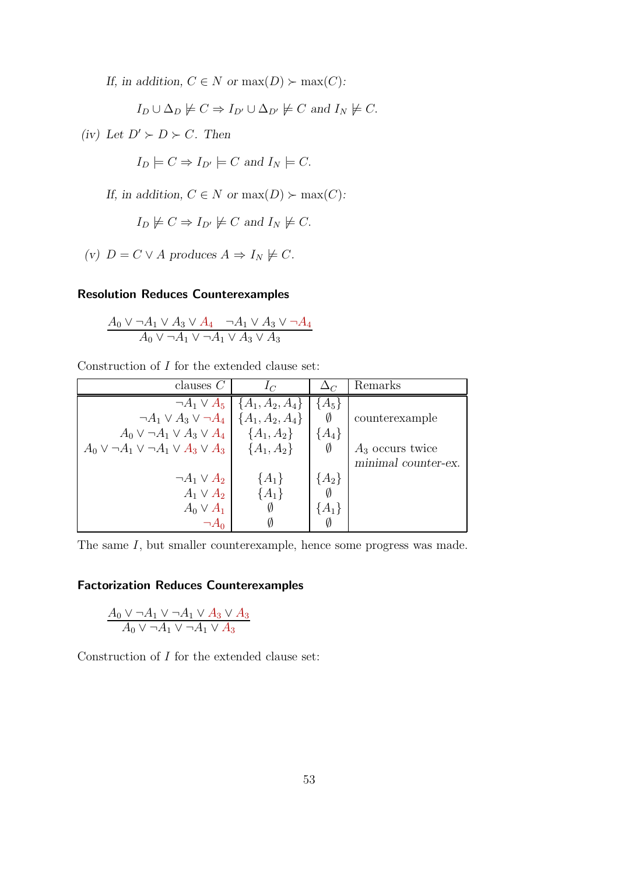*If, in addition,*  $C \in N$  *or*  $max(D) \succ max(C)$ *:* 

$$
I_D \cup \Delta_D \not\models C \Rightarrow I_{D'} \cup \Delta_{D'} \not\models C
$$
 and  $I_N \not\models C$ .

*(iv)* Let  $D' \succ D \succ C$ *. Then* 

 $I_D \models C \Rightarrow I_{D'} \models C$  and  $I_N \models C$ .

*If, in addition,*  $C \in N$  *or*  $max(D) \succ max(C)$ *:* 

$$
I_D \not\models C \Rightarrow I_{D'} \not\models C
$$
 and  $I_N \not\models C$ .

*(v)*  $D = C \vee A$  *produces*  $A \Rightarrow I_N \not\models C$ *.* 

# Resolution Reduces Counterexamples

$$
\frac{A_0 \vee \neg A_1 \vee A_3 \vee A_4 \qquad \neg A_1 \vee A_3 \vee \neg A_4}{A_0 \vee \neg A_1 \vee \neg A_1 \vee A_3 \vee A_3}
$$

Construction of I for the extended clause set:

| clauses $C$                                                          | $1\sigma$                                  |           | Remarks             |
|----------------------------------------------------------------------|--------------------------------------------|-----------|---------------------|
|                                                                      | $\neg A_1 \vee A_5 \mid \{A_1, A_2, A_4\}$ | $\{A_5\}$ |                     |
| $\neg A_1 \vee A_3 \vee \neg A_4 \mid \{A_1, A_2, A_4\}$             |                                            | Ø         | counterexample      |
| $A_0 \vee \neg A_1 \vee A_3 \vee A_4 \quad \{A_1, A_2\}$             |                                            | $\{A_4\}$ |                     |
| $A_0 \vee \neg A_1 \vee \neg A_1 \vee A_3 \vee A_3$   { $A_1, A_2$ } |                                            | Ø         | $A_3$ occurs twice  |
|                                                                      |                                            |           | minimal counter-ex. |
| $\neg A_1 \vee A_2$                                                  | ${A_1}$                                    | $\{A_2\}$ |                     |
| $A_1 \vee A_2$                                                       | $\{A_1\}$                                  |           |                     |
| $A_0 \vee A_1$                                                       |                                            | $\{A_1\}$ |                     |
|                                                                      |                                            | Ø         |                     |

The same I, but smaller counterexample, hence some progress was made.

# Factorization Reduces Counterexamples

$$
\frac{A_0 \vee \neg A_1 \vee \neg A_1 \vee A_3 \vee A_3}{A_0 \vee \neg A_1 \vee \neg A_1 \vee A_3}
$$

Construction of I for the extended clause set: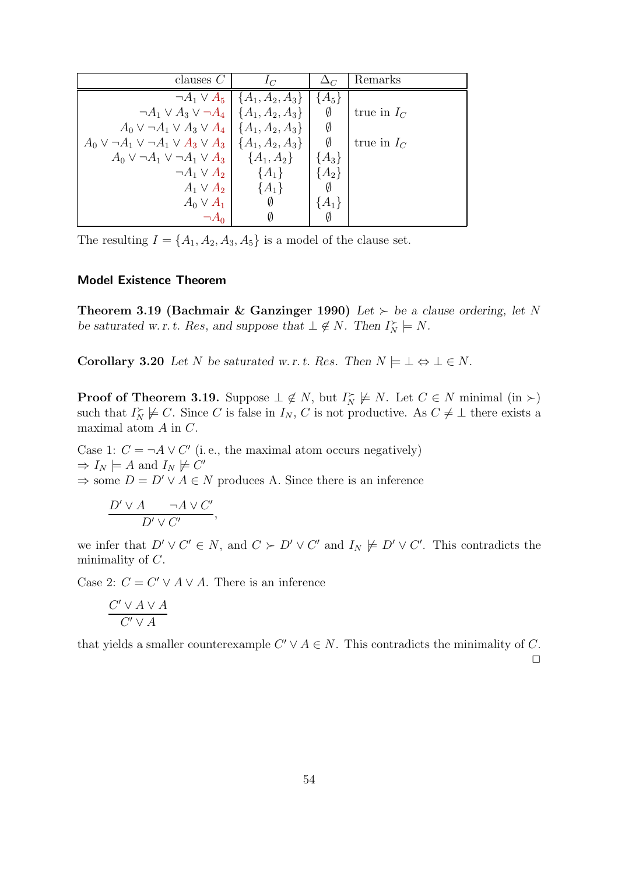| clauses $C$                                                                | $1\sigma$                                    |           | Remarks       |
|----------------------------------------------------------------------------|----------------------------------------------|-----------|---------------|
|                                                                            | $\neg A_1 \vee A_5 \mid \{A_1, A_2, A_3\}\n$ | ${A_5}$   |               |
| $\neg A_1 \vee A_3 \vee \neg A_4 \mid \{A_1, A_2, A_3\}$                   |                                              | Ø         | true in $I_C$ |
| $A_0 \vee \neg A_1 \vee A_3 \vee A_4 \mid \{A_1, A_2, A_3\}$               |                                              | Ø         |               |
| $A_0 \vee \neg A_1 \vee \neg A_1 \vee A_3 \vee A_3 \mid \{A_1, A_2, A_3\}$ |                                              | Ø         | true in $I_C$ |
| $A_0 \vee \neg A_1 \vee \neg A_1 \vee A_3 \quad \{A_1, A_2\}$              |                                              | ${A_3}$   |               |
| $\neg A_1 \vee A_2$                                                        | $\{A_1\}$                                    | ${A_2}$   |               |
| $A_1 \vee A_2$                                                             | $\{A_1\}$                                    | Ø         |               |
| $A_0 \vee A_1$                                                             | Ø                                            | $\{A_1\}$ |               |
|                                                                            |                                              | Ø         |               |

The resulting  $I = \{A_1, A_2, A_3, A_5\}$  is a model of the clause set.

# Model Existence Theorem

**Theorem 3.19 (Bachmair & Ganzinger 1990)** Let  $\succ$  be a clause ordering, let N *be saturated w.r.t. Res, and suppose that*  $\bot \notin N$ *. Then*  $I_N^{\succ} \models N$ *.* 

Corollary 3.20 *Let* N *be saturated w.r.t. Res.* Then  $N \models \bot \Leftrightarrow \bot \in N$ .

**Proof of Theorem 3.19.** Suppose  $\perp \notin N$ , but  $I_N^{\succ} \not\models N$ . Let  $C \in N$  minimal (in  $\succ$ ) such that  $I_N^{\succ} \not\models C$ . Since C is false in  $I_N$ , C is not productive. As  $C \neq \bot$  there exists a maximal atom A in C.

Case 1:  $C = \neg A \lor C'$  (i.e., the maximal atom occurs negatively)  $\Rightarrow I_N \models A$  and  $I_N \not\models C'$  $\Rightarrow$  some  $D = D' \vee A \in N$  produces A. Since there is an inference

$$
\frac{D' \vee A \qquad \neg A \vee C'}{D' \vee C'},
$$

we infer that  $D' \vee C' \in N$ , and  $C \succ D' \vee C'$  and  $I_N \not\models D' \vee C'$ . This contradicts the minimality of  $C$ .

Case 2:  $C = C' \vee A \vee A$ . There is an inference

$$
\frac{C'\vee A\vee A}{C'\vee A}
$$

that yields a smaller counterexample  $C' \vee A \in N$ . This contradicts the minimality of C.

 $\Box$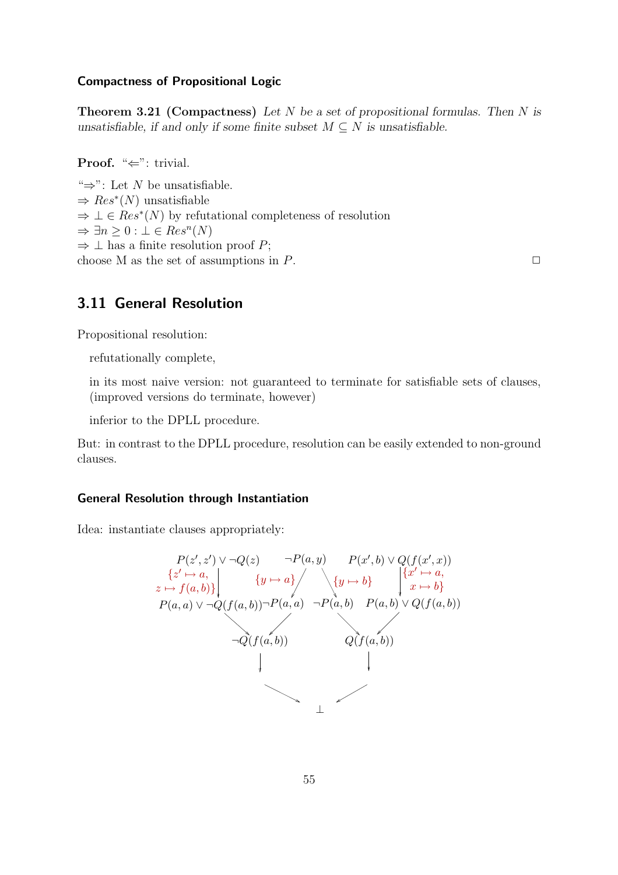## Compactness of Propositional Logic

Theorem 3.21 (Compactness) *Let* N *be a set of propositional formulas. Then* N *is unsatisfiable, if and only if some finite subset*  $M \subseteq N$  *is unsatisfiable.* 

**Proof.** " $\Leftarrow$ ": trivial.

" $\Rightarrow$ ": Let N be unsatisfiable.  $\Rightarrow Res^*(N)$  unsatisfiable  $\Rightarrow \bot \in Res^*(N)$  by refutational completeness of resolution  $\Rightarrow \exists n \geq 0 : \bot \in Res^n(N)$  $\Rightarrow$   $\perp$  has a finite resolution proof P; choose M as the set of assumptions in  $P$ .

# 3.11 General Resolution

Propositional resolution:

refutationally complete,

in its most naive version: not guaranteed to terminate for satisfiable sets of clauses, (improved versions do terminate, however)

inferior to the DPLL procedure.

But: in contrast to the DPLL procedure, resolution can be easily extended to non-ground clauses.

#### General Resolution through Instantiation

Idea: instantiate clauses appropriately:

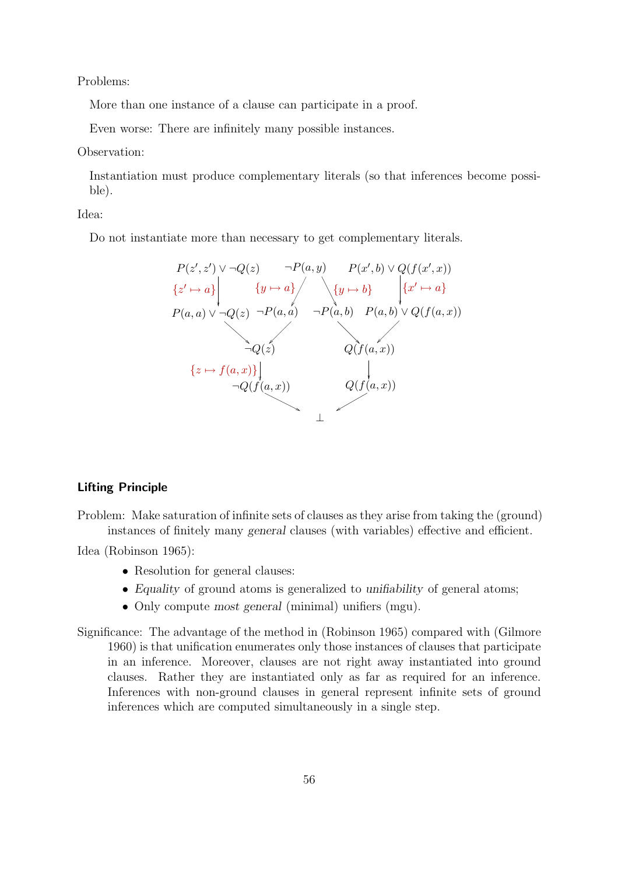Problems:

More than one instance of a clause can participate in a proof.

Even worse: There are infinitely many possible instances.

#### Observation:

Instantiation must produce complementary literals (so that inferences become possible).

Idea:

Do not instantiate more than necessary to get complementary literals.



# Lifting Principle

Problem: Make saturation of infinite sets of clauses as they arise from taking the (ground) instances of finitely many *general* clauses (with variables) effective and efficient.

Idea (Robinson 1965):

- Resolution for general clauses:
- *Equality* of ground atoms is generalized to *unifiability* of general atoms;
- Only compute *most general* (minimal) unifiers (mgu).

Significance: The advantage of the method in (Robinson 1965) compared with (Gilmore 1960) is that unification enumerates only those instances of clauses that participate in an inference. Moreover, clauses are not right away instantiated into ground clauses. Rather they are instantiated only as far as required for an inference. Inferences with non-ground clauses in general represent infinite sets of ground inferences which are computed simultaneously in a single step.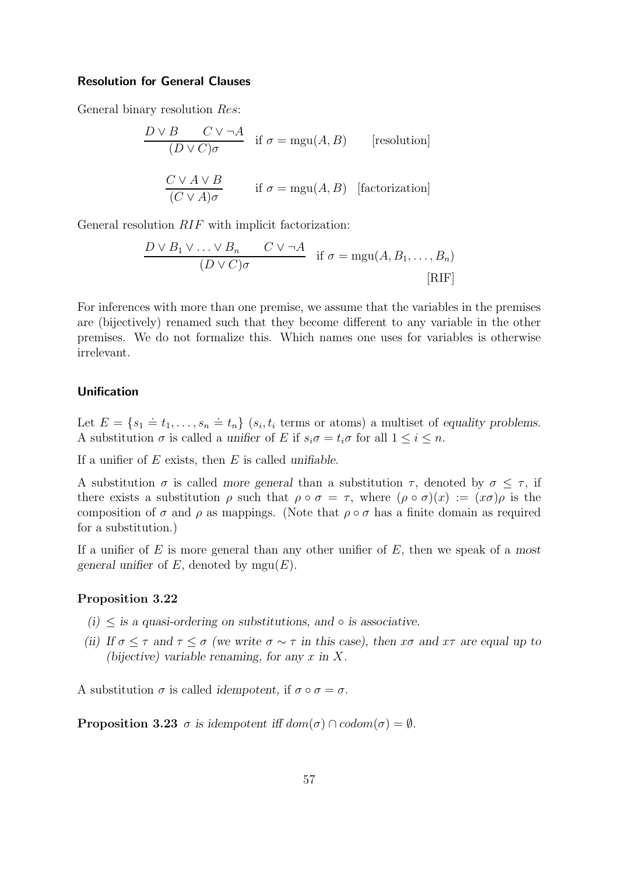### Resolution for General Clauses

General binary resolution Res:

$$
\frac{D \vee B \quad C \vee \neg A}{(D \vee C)\sigma} \quad \text{if } \sigma = \text{mgu}(A, B) \qquad \text{[resolution]}
$$
\n
$$
\frac{C \vee A \vee B}{(C \vee A)\sigma} \qquad \text{if } \sigma = \text{mgu}(A, B) \quad \text{[factorization]}
$$

General resolution RIF with implicit factorization:

$$
\frac{D \vee B_1 \vee \ldots \vee B_n \qquad C \vee \neg A}{(D \vee C)\sigma} \quad \text{if } \sigma = \text{mgu}(A, B_1, \ldots, B_n)
$$
\n[RIF]

For inferences with more than one premise, we assume that the variables in the premises are (bijectively) renamed such that they become different to any variable in the other premises. We do not formalize this. Which names one uses for variables is otherwise irrelevant.

## Unification

Let  $E = \{s_1 \doteq t_1, \ldots, s_n \doteq t_n\}$   $(s_i, t_i$  terms or atoms) a multiset of *equality problems.* A substitution  $\sigma$  is called a *unifier* of E if  $s_i \sigma = t_i \sigma$  for all  $1 \leq i \leq n$ .

If a unifier of E exists, then E is called *unifiable.*

A substitution  $\sigma$  is called *more general* than a substitution  $\tau$ , denoted by  $\sigma \leq \tau$ , if there exists a substitution  $\rho$  such that  $\rho \circ \sigma = \tau$ , where  $(\rho \circ \sigma)(x) := (x \sigma)\rho$  is the composition of  $\sigma$  and  $\rho$  as mappings. (Note that  $\rho \circ \sigma$  has a finite domain as required for a substitution.)

If a unifier of E is more general than any other unifier of E, then we speak of a *most general unifier* of  $E$ , denoted by  $mgu(E)$ .

## Proposition 3.22

- $(i) \leq$  *is a quasi-ordering on substitutions, and*  $\circ$  *is associative.*
- *(ii)* If  $\sigma \leq \tau$  and  $\tau \leq \sigma$  *(we write*  $\sigma \sim \tau$  *in this case), then*  $x\sigma$  *and*  $x\tau$  *are equal up to (bijective) variable renaming, for any* x *in* X*.*

A substitution  $\sigma$  is called *idempotent*, if  $\sigma \circ \sigma = \sigma$ .

**Proposition 3.23**  $\sigma$  is idempotent iff  $dom(\sigma) \cap codom(\sigma) = \emptyset$ .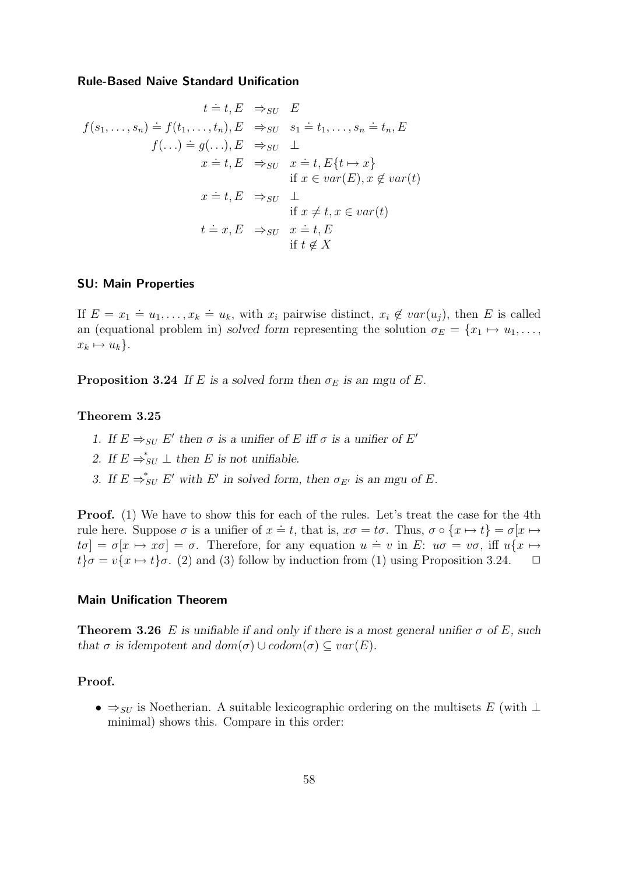#### Rule-Based Naive Standard Unification

$$
t = t, E \Rightarrow_{SU} E
$$
  
\n
$$
f(s_1, ..., s_n) = f(t_1, ..., t_n), E \Rightarrow_{SU} s_1 = t_1, ..., s_n = t_n, E
$$
  
\n
$$
f(...) = g(...), E \Rightarrow_{SU} \bot
$$
  
\n
$$
x = t, E \Rightarrow_{SU} x = t, E\{t \mapsto x\}
$$
  
\nif  $x \in var(E), x \notin var(t)$   
\n
$$
x = t, E \Rightarrow_{SU} \bot
$$
  
\nif  $x \neq t, x \in var(t)$   
\n
$$
t = x, E \Rightarrow_{SU} x = t, E
$$
  
\nif  $t \notin X$ 

## SU: Main Properties

If  $E = x_1 \doteq u_1, \ldots, x_k \doteq u_k$ , with  $x_i$  pairwise distinct,  $x_i \notin var(u_j)$ , then E is called an (equational problem in) *solved form* representing the solution  $\sigma_E = \{x_1 \mapsto u_1, \ldots,$  $x_k \mapsto u_k$ .

**Proposition 3.24** *If* E is a solved form then  $\sigma_E$  is an mgu of E.

## Theorem 3.25

- *1.* If  $E \Rightarrow_{SU} E'$  then  $\sigma$  is a unifier of E iff  $\sigma$  is a unifier of E'
- 2. If  $E \Rightarrow_{SU}^* \perp$  then *E* is not unifiable.
- *3.* If  $E \Rightarrow_{SU}^* E'$  with E' in solved form, then  $\sigma_{E'}$  is an mgu of E.

**Proof.** (1) We have to show this for each of the rules. Let's treat the case for the 4th rule here. Suppose  $\sigma$  is a unifier of  $x = t$ , that is,  $x\sigma = t\sigma$ . Thus,  $\sigma \circ \{x \mapsto t\} = \sigma[x \mapsto$  $t\sigma$  =  $\sigma[x \mapsto x\sigma] = \sigma$ . Therefore, for any equation  $u = v$  in E:  $u\sigma = v\sigma$ , iff  $u\{x \mapsto$  $t\sigma = v\{x \mapsto t\}\sigma$ . (2) and (3) follow by induction from (1) using Proposition 3.24.  $\Box$ 

### Main Unification Theorem

**Theorem 3.26** E is unifiable if and only if there is a most general unifier  $\sigma$  of E, such *that*  $\sigma$  *is idempotent and dom* $(\sigma) \cup codom(\sigma) \subseteq var(E)$ *.* 

# Proof.

•  $\Rightarrow$  suitable lexicographic ordering on the multisets E (with ⊥ minimal) shows this. Compare in this order: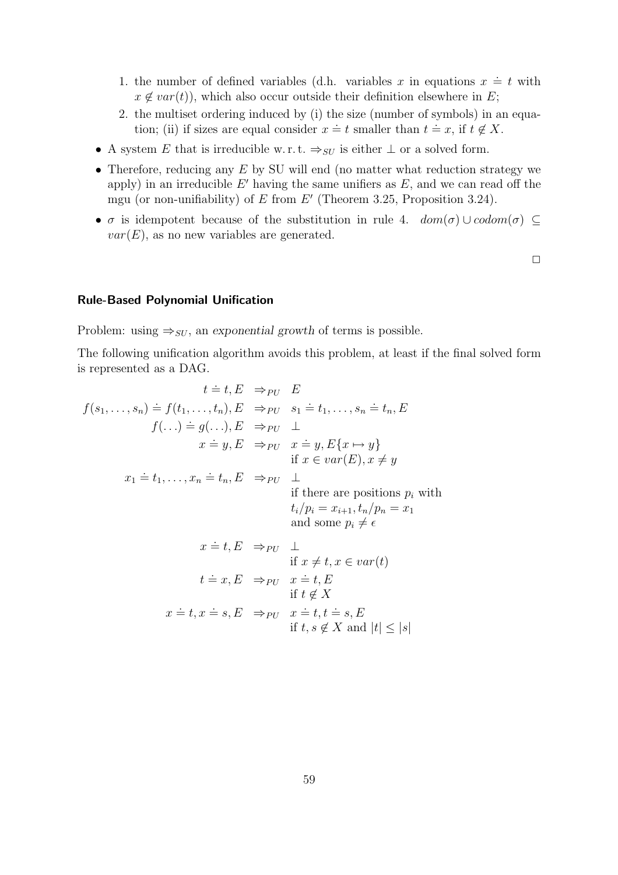- 1. the number of defined variables (d.h. variables x in equations  $x \doteq t$  with  $x \notin var(t)$ , which also occur outside their definition elsewhere in E;
- 2. the multiset ordering induced by (i) the size (number of symbols) in an equation; (ii) if sizes are equal consider  $x = t$  smaller than  $t = x$ , if  $t \notin X$ .
- A system E that is irreducible w.r.t.  $\Rightarrow_{SU}$  is either  $\perp$  or a solved form.
- Therefore, reducing any  $E$  by SU will end (no matter what reduction strategy we apply) in an irreducible  $E'$  having the same unifiers as  $E$ , and we can read off the mgu (or non-unifiability) of  $E$  from  $E'$  (Theorem 3.25, Proposition 3.24).
- $\sigma$  is idempotent because of the substitution in rule 4.  $dom(\sigma) \cup codom(\sigma) \subseteq$  $var(E)$ , as no new variables are generated.

 $\Box$ 

## Rule-Based Polynomial Unification

Problem: using  $\Rightarrow_{SU}$ , an *exponential growth* of terms is possible.

The following unification algorithm avoids this problem, at least if the final solved form is represented as a DAG.

$$
t = t, E \Rightarrow_{PU} E
$$
  
\n
$$
f(s_1, ..., s_n) = f(t_1, ..., t_n), E \Rightarrow_{PU} s_1 = t_1, ..., s_n = t_n, E
$$
  
\n
$$
f(...) = g(...), E \Rightarrow_{PU} \perp
$$
  
\n
$$
x = y, E \Rightarrow_{PU} x = y, E\{x \mapsto y\}
$$
  
\nif  $x \in var(E), x \neq y$   
\n
$$
x_1 = t_1, ..., x_n = t_n, E \Rightarrow_{PU} \perp
$$
  
\nif there are positions  $p_i$  with  
\n
$$
t_i/p_i = x_{i+1}, t_n/p_n = x_1
$$
  
\nand some  $p_i \neq \epsilon$   
\n
$$
x = t, E \Rightarrow_{PU} \perp
$$
  
\nif  $x \neq t, x \in var(t)$   
\n
$$
t = x, E \Rightarrow_{PU} x = t, E
$$
  
\nif  $t \notin X$   
\n
$$
x = t, x \in s, E \Rightarrow_{PU} x = t, t \neq s, E
$$
  
\nif  $t, s \notin X$  and  $|t| \leq |s|$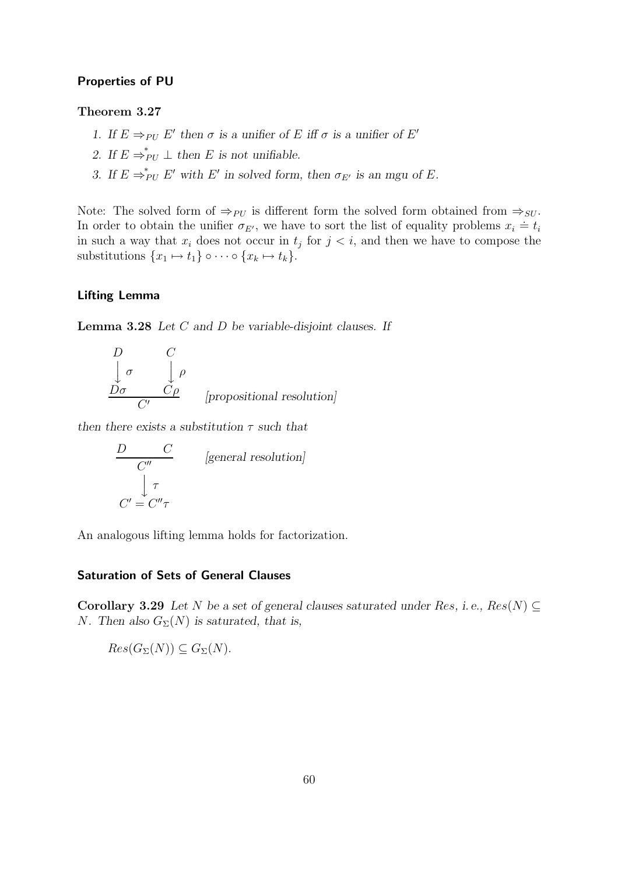## Properties of PU

# Theorem 3.27

- *1.* If  $E \Rightarrow_{PU} E'$  then  $\sigma$  *is a unifier of*  $E$  *iff*  $\sigma$  *is a unifier of*  $E'$
- 2. If  $E \Rightarrow_{PU}^* \perp$  then *E* is not unifiable.
- *3.* If  $E \Rightarrow_{PU}^* E'$  with E' in solved form, then  $\sigma_{E'}$  is an mgu of E.

Note: The solved form of  $\Rightarrow_{PU}$  is different form the solved form obtained from  $\Rightarrow_{SU}$ . In order to obtain the unifier  $\sigma_{E'}$ , we have to sort the list of equality problems  $x_i \doteq t_i$ in such a way that  $x_i$  does not occur in  $t_j$  for  $j < i$ , and then we have to compose the substitutions  $\{x_1 \mapsto t_1\} \circ \cdots \circ \{x_k \mapsto t_k\}.$ 

# Lifting Lemma

Lemma 3.28 *Let* C *and* D *be variable-disjoint clauses. If*

$$
\begin{array}{ccc}\nD & C \\
\downarrow \sigma & \downarrow \rho \\
\hline\nD\sigma & C\rho\n\end{array}
$$
\n[propositional resolution]

*then there exists a substitution* τ *such that*

$$
\frac{D \quad C'}{\quad C''}
$$
 [general resolution]  

$$
\int_{C'} \tau
$$
  

$$
C' = C''\tau
$$

An analogous lifting lemma holds for factorization.

# Saturation of Sets of General Clauses

Corollary 3.29 Let N be a set of general clauses saturated under Res, i.e.,  $Res(N) \subseteq$ *N*. Then also  $G_{\Sigma}(N)$  is saturated, that is,

 $Res(G_{\Sigma}(N)) \subseteq G_{\Sigma}(N).$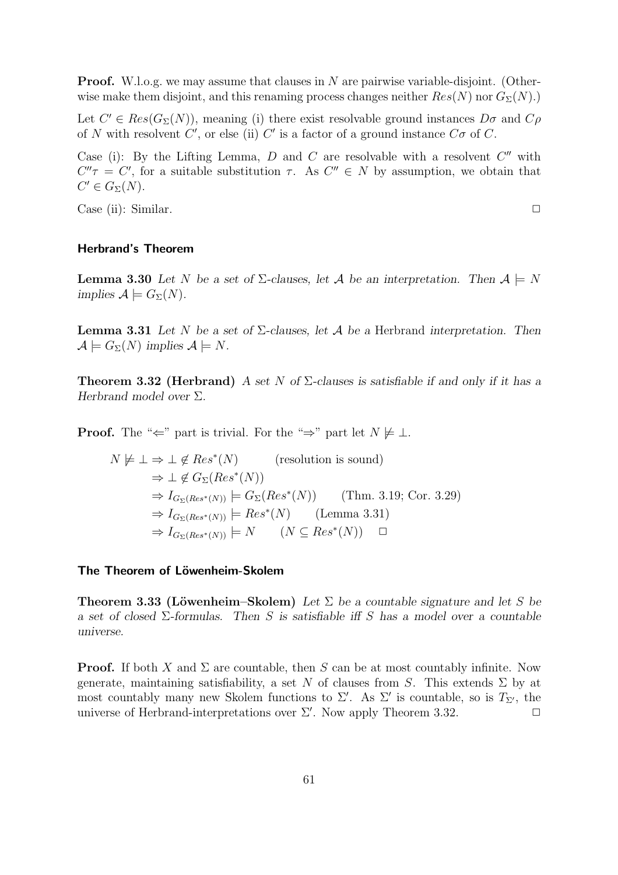**Proof.** W.l.o.g. we may assume that clauses in N are pairwise variable-disjoint. (Otherwise make them disjoint, and this renaming process changes neither  $Res(N)$  nor  $G_{\Sigma}(N)$ .)

Let  $C' \in Res(G_{\Sigma}(N))$ , meaning (i) there exist resolvable ground instances  $D\sigma$  and  $C\rho$ of N with resolvent  $C'$ , or else (ii)  $C'$  is a factor of a ground instance  $C\sigma$  of C.

Case (i): By the Lifting Lemma,  $D$  and  $C$  are resolvable with a resolvent  $C''$  with  $C''\tau = C'$ , for a suitable substitution  $\tau$ . As  $C'' \in N$  by assumption, we obtain that  $C' \in G_{\Sigma}(N)$ .

Case (ii): Similar. ✷

Herbrand's Theorem

**Lemma 3.30** Let N be a set of  $\Sigma$ -clauses, let A be an interpretation. Then  $A \models N$ *implies*  $\mathcal{A} \models G_{\Sigma}(N)$ *.* 

Lemma 3.31 *Let* N *be a set of* Σ*-clauses, let* A *be a* Herbrand *interpretation. Then*  $\mathcal{A} \models G_{\Sigma}(N)$  *implies*  $\mathcal{A} \models N$ .

Theorem 3.32 (Herbrand) *A set* N *of* Σ*-clauses is satisfiable if and only if it has a Herbrand model over* Σ*.*

**Proof.** The " $\Leftarrow$ " part is trivial. For the " $\Rightarrow$ " part let  $N \not\models \bot$ .

$$
N \not\models \bot \Rightarrow \bot \notin Res^*(N) \qquad \text{(resolution is sound)}
$$
  
\n
$$
\Rightarrow \bot \notin G_{\Sigma}(Res^*(N))
$$
  
\n
$$
\Rightarrow I_{G_{\Sigma}(Res^*(N))} \models G_{\Sigma}(Res^*(N)) \qquad \text{(Thm. 3.19; Cor. 3.29)}
$$
  
\n
$$
\Rightarrow I_{G_{\Sigma}(Res^*(N))} \models Res^*(N) \qquad \text{(Lemma 3.31)}
$$
  
\n
$$
\Rightarrow I_{G_{\Sigma}(Res^*(N))} \models N \qquad (N \subseteq Res^*(N)) \qquad \Box
$$

#### The Theorem of Löwenheim-Skolem

**Theorem 3.33 (Löwenheim–Skolem)** Let  $\Sigma$  be a countable signature and let S be *a set of closed* Σ*-formulas. Then* S *is satisfiable iff* S *has a model over a countable universe.*

**Proof.** If both X and  $\Sigma$  are countable, then S can be at most countably infinite. Now generate, maintaining satisfiability, a set N of clauses from S. This extends  $\Sigma$  by at most countably many new Skolem functions to  $\Sigma'$ . As  $\Sigma'$  is countable, so is  $T_{\Sigma'}$ , the universe of Herbrand-interpretations over  $\Sigma'$ . Now apply Theorem 3.32.